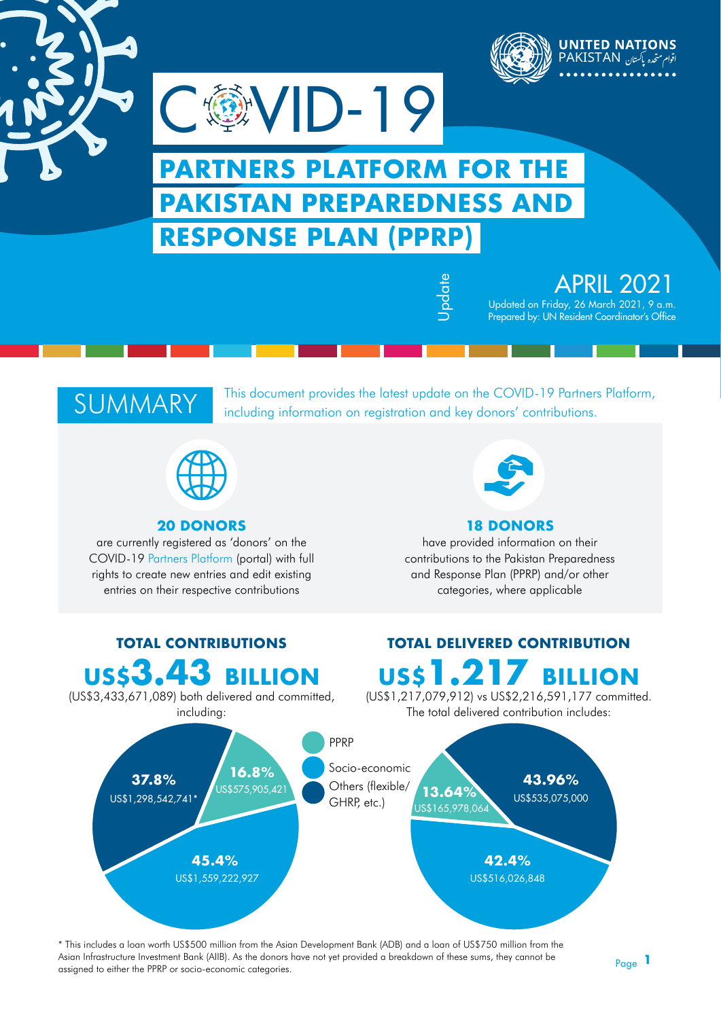

# **PARTNERS PLATFORM FOR THE PAKISTAN PREPAREDNESS AND RESPONSE PLAN (PPRP)**

**戀VID-19** 

 APRIL 2021 Updated on Friday, 26 March 2021, 9 a.m. Prepared by: UN Resident Coordinator's Office

### SUMMARY

This document provides the latest update on the [COVID-19 Partners Platform](https://covid-19-response.org/), including information on registration and key donors' contributions.

Update



### **20 DONORS**

are currently registered as 'donors' on the COVID-19 [Partners Platform](https://covid19partnersplatform.who.int/) (portal) with full rights to create new entries and edit existing entries on their respective contributions



### **18 DONORS**

have provided information on their contributions to the Pakistan Preparedness and Response Plan (PPRP) and/or other categories, where applicable



\* This includes a loan worth US\$500 million from the Asian Development Bank (ADB) and a loan of US\$750 million from the Asian Infrastructure Investment Bank (AIIB). As the donors have not yet provided a breakdown of these sums, they cannot be assigned to either the PPRP or socio-economic categories.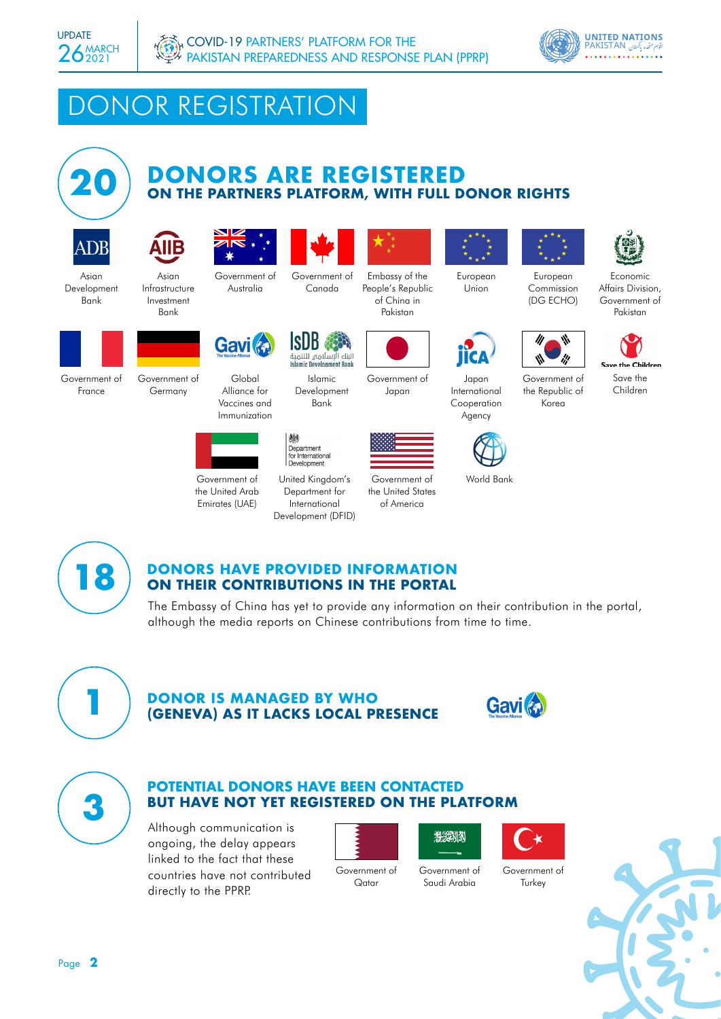



## DONOR REGISTRATION



# **DONORS ARE REGISTERED 20 ON THE PARTNERS PLATFORM, WITH FULL DONOR RIGHTS**





Bank

Asian Development Bank

Asian Infrastructure Investment



Government of Canada



Embassy of the People's Republic of China in Pakistan



European Union

Japan International Cooperation Agency



Government of the Republic of Korea

European Commission (DG ECHO)

World Bank



Economic Affairs Division, Government of Pakistan



Save the Children



Government of France

Government of Germany



Global Alliance for Vaccines and Immunization

**Gavi fr** 

Government of the United Arab Emirates (UAE)



Department for International Development (DFID)

Islamic Development Bank

البنك الإسلامي للتنمية<br>Islamic Development Bank

ISIJK



Government of Japan

Government of the United States of America



# **DONORS HAVE PROVIDED INFORMATION**<br>**2 ON THEIR CONTRIBUTIONS IN THE PORTAL**

The Embassy of China has yet to provide any information on their contribution in the portal, although the media reports on Chinese contributions from time to time.



# **DONOR IS MANAGED BY WHO<br>
<b>(GENEVA) AS IT LACKS LOCAL PRESENCE**





#### **POTENTIAL DONORS HAVE BEEN CONTACTED BUT HAVE NOT YET REGISTERED ON THE PLATFORM 3**

Although communication is ongoing, the delay appears linked to the fact that these countries have not contributed directly to the PPRP.



Government of Qatar

Government of Saudi Arabia



Government of **Turkey**